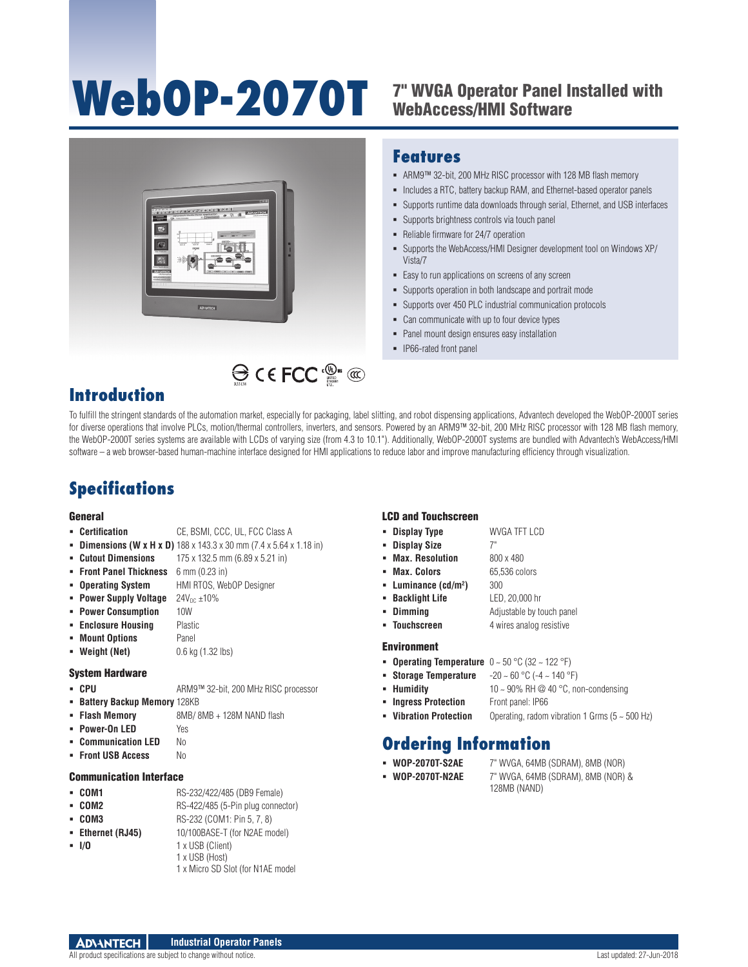# WebOP-2070T <sup>7" WVGA Operator Panel Installed with</sup>

## WebAccess/HMI Software



### **Features**

- ARM9™ 32-bit, 200 MHz RISC processor with 128 MB flash memory
- Includes a RTC, battery backup RAM, and Ethernet-based operator panels
- Supports runtime data downloads through serial, Ethernet, and USB interfaces
- Supports brightness controls via touch panel
- Reliable firmware for 24/7 operation
- Supports the WebAccess/HMI Designer development tool on Windows XP/ Vista/7
- Easy to run applications on screens of any screen
- Supports operation in both landscape and portrait mode
- Supports over 450 PLC industrial communication protocols
- Can communicate with up to four device types
- Panel mount design ensures easy installation
- IP66-rated front panel

## **Introduction**

To fulfill the stringent standards of the automation market, especially for packaging, label slitting, and robot dispensing applications, Advantech developed the WebOP-2000T series for diverse operations that involve PLCs, motion/thermal controllers, inverters, and sensors. Powered by an ARM9™ 32-bit, 200 MHz RISC processor with 128 MB flash memory, the WebOP-2000T series systems are available with LCDs of varying size (from 4.3 to 10.1"). Additionally, WebOP-2000T systems are bundled with Advantech's WebAccess/HMI software – a web browser-based human-machine interface designed for HMI applications to reduce labor and improve manufacturing efficiency through visualization.

## **Specifications**

#### General

- **Certification** CE, BSMI, CCC, UL, FCC Class A
- **Dimensions (W x H x D)** 188 x 143.3 x 30 mm (7.4 x 5.64 x 1.18 in)
- **Cutout Dimensions** 175 x 132.5 mm (6.89 x 5.21 in)
- **Front Panel Thickness** 6 mm (0.23 in)
- **Operating System** HMI RTOS, WebOP Designer
- **Power Supply Voltage**  $24V_{DC} \pm 10\%$
- **Power Consumption** 10W
- **Enclosure Housing Plastic**
- **Mount Options** Panel
- **Weight (Net)** 0.6 kg (1.32 lbs)

#### System Hardware

- CPU ARM9<sup>™</sup> 32-bit, 200 MHz RISC processor
- **Battery Backup Memory 128KB**
- **Flash Memory** 8MB/ 8MB + 128M NAND flash
- **Power-On LED** Yes
- **E Communication LED** No
- **Front USB Access** No

#### Communication Interface

- **COM1** RS-232/422/485 (DB9 Female)
- **COM2** RS-422/485 (5-Pin plug connector)
- **COM3** RS-232 (COM1: Pin 5, 7, 8)
- **Ethernet (RJ45)** 10/100BASE-T (for N2AE model)
- 
- **I/O** 1 x USB (Client) 1 x USB (Host)
	- 1 x Micro SD Slot (for N1AE model

#### LCD and Touchscreen

- **Display Type** WVGA TFT LCD
- **Display Size** 7"
- **Max. Resolution** 800 x 480
- **Max. Colors** 65,536 colors
- 
- **Backlight Life** LED, 20,000 hr
- **Dimming** Adjustable by touch panel
- **Touchscreen** 4 wires analog resistive

**)** 300

#### Environment

- **Operating Temperature**  $0 \sim 50 \degree C$  (32  $\sim$  122  $\degree F$ )
- **Storage Temperature** -20 ~ 60 °C (-4 ~ 140 °F)
- **Humidity**  $10 \sim 90\%$  RH @ 40 °C, non-condensing
- **Ingress Protection** Front panel: IP66
- **Vibration Protection** Operating, radom vibration 1 Grms (5 ~ 500 Hz)

## **Ordering Information**

- **WOP-2070T-S2AE** 7" WVGA, 64MB (SDRAM), 8MB (NOR)
- **WOP-2070T-N2AE** 7" WVGA, 64MB (SDRAM), 8MB (NOR) & 128MB (NAND)
- **Luminance (cd/m2**
-